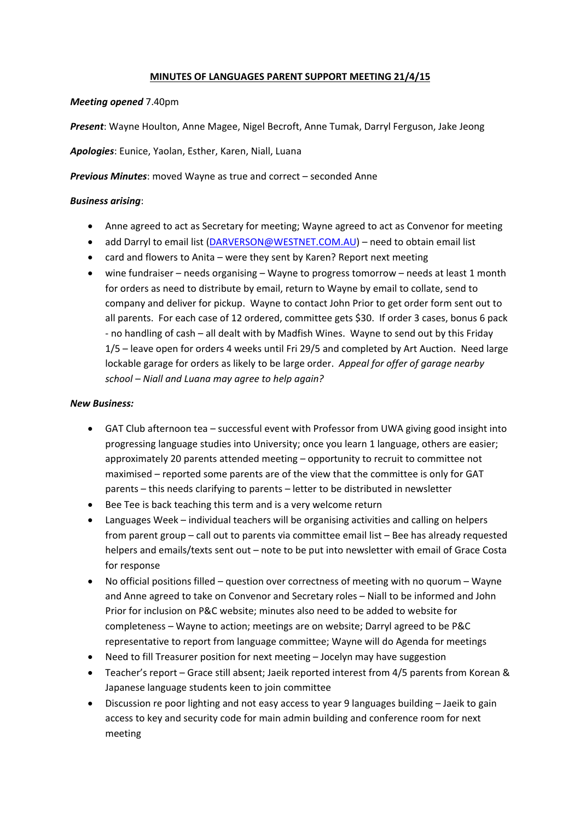## **MINUTES OF LANGUAGES PARENT SUPPORT MEETING 21/4/15**

## *Meeting opened* 7.40pm

*Present*: Wayne Houlton, Anne Magee, Nigel Becroft, Anne Tumak, Darryl Ferguson, Jake Jeong

*Apologies*: Eunice, Yaolan, Esther, Karen, Niall, Luana

*Previous Minutes*: moved Wayne as true and correct – seconded Anne

# *Business arising*:

- Anne agreed to act as Secretary for meeting; Wayne agreed to act as Convenor for meeting
- add Darryl to email list (DARVERSON@WESTNET.COM.AU) need to obtain email list
- card and flowers to Anita were they sent by Karen? Report next meeting
- wine fundraiser needs organising Wayne to progress tomorrow needs at least 1 month for orders as need to distribute by email, return to Wayne by email to collate, send to company and deliver for pickup. Wayne to contact John Prior to get order form sent out to all parents. For each case of 12 ordered, committee gets \$30. If order 3 cases, bonus 6 pack ‐ no handling of cash – all dealt with by Madfish Wines. Wayne to send out by this Friday 1/5 – leave open for orders 4 weeks until Fri 29/5 and completed by Art Auction. Need large lockable garage for orders as likely to be large order. *Appeal for offer of garage nearby school – Niall and Luana may agree to help again?*

### *New Business:*

- GAT Club afternoon tea successful event with Professor from UWA giving good insight into progressing language studies into University; once you learn 1 language, others are easier; approximately 20 parents attended meeting – opportunity to recruit to committee not maximised – reported some parents are of the view that the committee is only for GAT parents – this needs clarifying to parents – letter to be distributed in newsletter
- Bee Tee is back teaching this term and is a very welcome return
- Languages Week individual teachers will be organising activities and calling on helpers from parent group – call out to parents via committee email list – Bee has already requested helpers and emails/texts sent out – note to be put into newsletter with email of Grace Costa for response
- No official positions filled question over correctness of meeting with no quorum Wayne and Anne agreed to take on Convenor and Secretary roles – Niall to be informed and John Prior for inclusion on P&C website; minutes also need to be added to website for completeness – Wayne to action; meetings are on website; Darryl agreed to be P&C representative to report from language committee; Wayne will do Agenda for meetings
- Need to fill Treasurer position for next meeting Jocelyn may have suggestion
- Teacher's report Grace still absent; Jaeik reported interest from 4/5 parents from Korean & Japanese language students keen to join committee
- Discussion re poor lighting and not easy access to year 9 languages building Jaeik to gain access to key and security code for main admin building and conference room for next meeting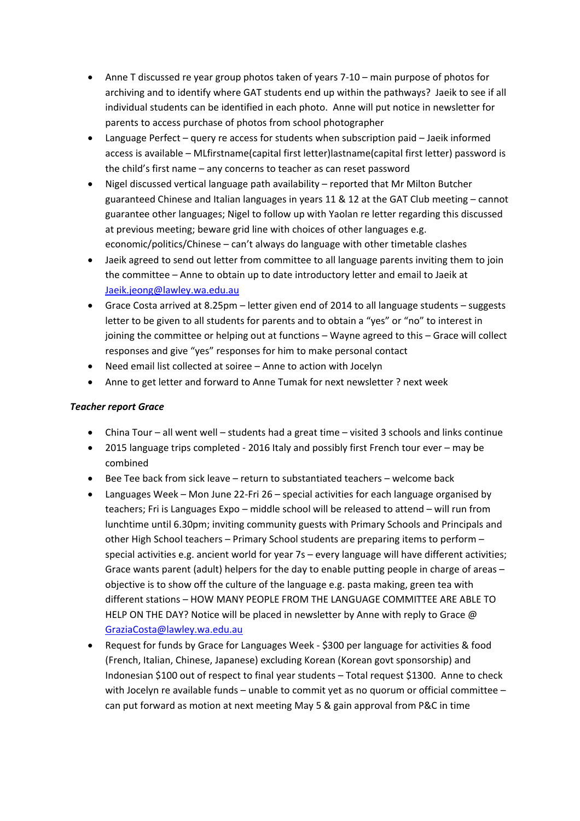- Anne T discussed re year group photos taken of years 7‐10 main purpose of photos for archiving and to identify where GAT students end up within the pathways? Jaeik to see if all individual students can be identified in each photo. Anne will put notice in newsletter for parents to access purchase of photos from school photographer
- Language Perfect query re access for students when subscription paid Jaeik informed access is available – MLfirstname(capital first letter)lastname(capital first letter) password is the child's first name – any concerns to teacher as can reset password
- Nigel discussed vertical language path availability reported that Mr Milton Butcher guaranteed Chinese and Italian languages in years 11 & 12 at the GAT Club meeting – cannot guarantee other languages; Nigel to follow up with Yaolan re letter regarding this discussed at previous meeting; beware grid line with choices of other languages e.g. economic/politics/Chinese – can't always do language with other timetable clashes
- Jaeik agreed to send out letter from committee to all language parents inviting them to join the committee – Anne to obtain up to date introductory letter and email to Jaeik at Jaeik.jeong@lawley.wa.edu.au
- Grace Costa arrived at 8.25pm letter given end of 2014 to all language students suggests letter to be given to all students for parents and to obtain a "yes" or "no" to interest in joining the committee or helping out at functions – Wayne agreed to this – Grace will collect responses and give "yes" responses for him to make personal contact
- Need email list collected at soiree Anne to action with Jocelyn
- Anne to get letter and forward to Anne Tumak for next newsletter ? next week

# *Teacher report Grace*

- China Tour all went well students had a great time visited 3 schools and links continue
- 2015 language trips completed 2016 Italy and possibly first French tour ever may be combined
- Bee Tee back from sick leave return to substantiated teachers welcome back
- Languages Week Mon June 22-Fri 26 special activities for each language organised by teachers; Fri is Languages Expo – middle school will be released to attend – will run from lunchtime until 6.30pm; inviting community guests with Primary Schools and Principals and other High School teachers – Primary School students are preparing items to perform – special activities e.g. ancient world for year 7s – every language will have different activities; Grace wants parent (adult) helpers for the day to enable putting people in charge of areas – objective is to show off the culture of the language e.g. pasta making, green tea with different stations – HOW MANY PEOPLE FROM THE LANGUAGE COMMITTEE ARE ABLE TO HELP ON THE DAY? Notice will be placed in newsletter by Anne with reply to Grace @ GraziaCosta@lawley.wa.edu.au
- Request for funds by Grace for Languages Week \$300 per language for activities & food (French, Italian, Chinese, Japanese) excluding Korean (Korean govt sponsorship) and Indonesian \$100 out of respect to final year students – Total request \$1300. Anne to check with Jocelyn re available funds – unable to commit yet as no quorum or official committee – can put forward as motion at next meeting May 5 & gain approval from P&C in time